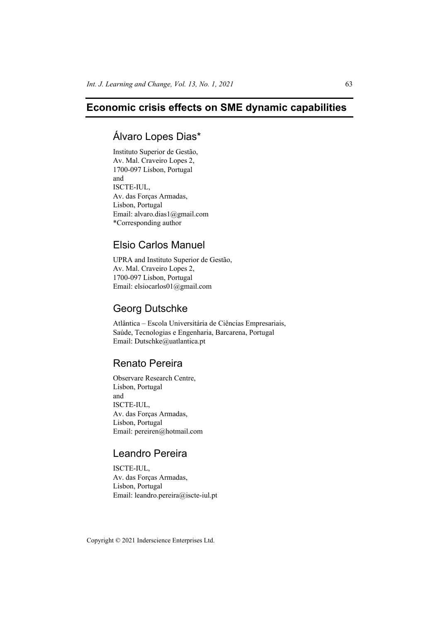# **Economic crisis effects on SME dynamic capabilities**

## Álvaro Lopes Dias\*

Instituto Superior de Gestão, Av. Mal. Craveiro Lopes 2, 1700-097 Lisbon, Portugal and ISCTE-IUL, Av. das Forças Armadas, Lisbon, Portugal Email: alvaro.dias1@gmail.com \*Corresponding author

## Elsio Carlos Manuel

UPRA and Instituto Superior de Gestão, Av. Mal. Craveiro Lopes 2, 1700-097 Lisbon, Portugal Email: elsiocarlos01@gmail.com

## Georg Dutschke

Atlântica – Escola Universitária de Ciências Empresariais, Saúde, Tecnologias e Engenharia, Barcarena, Portugal Email: Dutschke@uatlantica.pt

# Renato Pereira

Observare Research Centre, Lisbon, Portugal and ISCTE-IUL, Av. das Forças Armadas, Lisbon, Portugal Email: pereiren@hotmail.com

# Leandro Pereira

ISCTE-IUL, Av. das Forças Armadas, Lisbon, Portugal Email: leandro.pereira@iscte-iul.pt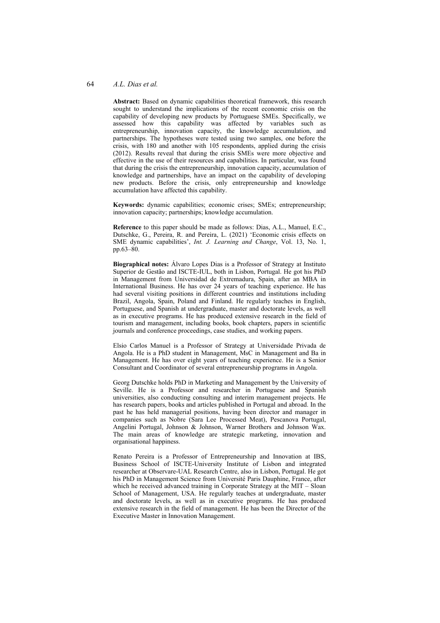#### 64 *A.L. Dias et al.*

**Abstract:** Based on dynamic capabilities theoretical framework, this research sought to understand the implications of the recent economic crisis on the capability of developing new products by Portuguese SMEs. Specifically, we assessed how this capability was affected by variables such as entrepreneurship, innovation capacity, the knowledge accumulation, and partnerships. The hypotheses were tested using two samples, one before the crisis, with 180 and another with 105 respondents, applied during the crisis (2012). Results reveal that during the crisis SMEs were more objective and effective in the use of their resources and capabilities. In particular, was found that during the crisis the entrepreneurship, innovation capacity, accumulation of knowledge and partnerships, have an impact on the capability of developing new products. Before the crisis, only entrepreneurship and knowledge accumulation have affected this capability.

**Keywords:** dynamic capabilities; economic crises; SMEs; entrepreneurship; innovation capacity; partnerships; knowledge accumulation.

**Reference** to this paper should be made as follows: Dias, A.L., Manuel, E.C., Dutschke, G., Pereira, R. and Pereira, L. (2021) 'Economic crisis effects on SME dynamic capabilities', *Int. J. Learning and Change*, Vol. 13, No. 1, pp.63–80.

**Biographical notes:** Álvaro Lopes Dias is a Professor of Strategy at Instituto Superior de Gestão and ISCTE-IUL, both in Lisbon, Portugal. He got his PhD in Management from Universidad de Extremadura, Spain, after an MBA in International Business. He has over 24 years of teaching experience. He has had several visiting positions in different countries and institutions including Brazil, Angola, Spain, Poland and Finland. He regularly teaches in English, Portuguese, and Spanish at undergraduate, master and doctorate levels, as well as in executive programs. He has produced extensive research in the field of tourism and management, including books, book chapters, papers in scientific journals and conference proceedings, case studies, and working papers.

Elsio Carlos Manuel is a Professor of Strategy at Universidade Privada de Angola. He is a PhD student in Management, MsC in Management and Ba in Management. He has over eight years of teaching experience. He is a Senior Consultant and Coordinator of several entrepreneurship programs in Angola.

Georg Dutschke holds PhD in Marketing and Management by the University of Seville. He is a Professor and researcher in Portuguese and Spanish universities, also conducting consulting and interim management projects. He has research papers, books and articles published in Portugal and abroad. In the past he has held managerial positions, having been director and manager in companies such as Nobre (Sara Lee Processed Meat), Pescanova Portugal, Angelini Portugal, Johnson & Johnson, Warner Brothers and Johnson Wax. The main areas of knowledge are strategic marketing, innovation and organisational happiness.

Renato Pereira is a Professor of Entrepreneurship and Innovation at IBS, Business School of ISCTE-University Institute of Lisbon and integrated researcher at Observare-UAL Research Centre, also in Lisbon, Portugal. He got his PhD in Management Science from Université Paris Dauphine, France, after which he received advanced training in Corporate Strategy at the MIT – Sloan School of Management, USA. He regularly teaches at undergraduate, master and doctorate levels, as well as in executive programs. He has produced extensive research in the field of management. He has been the Director of the Executive Master in Innovation Management.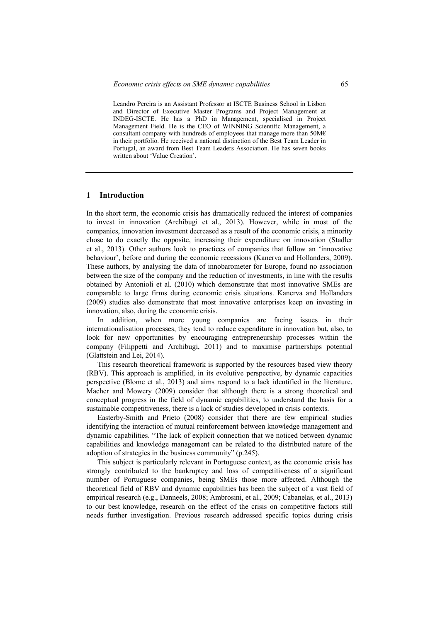Leandro Pereira is an Assistant Professor at ISCTE Business School in Lisbon and Director of Executive Master Programs and Project Management at INDEG-ISCTE. He has a PhD in Management, specialised in Project Management Field. He is the CEO of WINNING Scientific Management, a consultant company with hundreds of employees that manage more than  $50\text{M}\epsilon$ in their portfolio. He received a national distinction of the Best Team Leader in Portugal, an award from Best Team Leaders Association. He has seven books written about 'Value Creation'.

## **1 Introduction**

In the short term, the economic crisis has dramatically reduced the interest of companies to invest in innovation (Archibugi et al., 2013). However, while in most of the companies, innovation investment decreased as a result of the economic crisis, a minority chose to do exactly the opposite, increasing their expenditure on innovation (Stadler et al., 2013). Other authors look to practices of companies that follow an 'innovative behaviour', before and during the economic recessions (Kanerva and Hollanders, 2009). These authors, by analysing the data of innobarometer for Europe, found no association between the size of the company and the reduction of investments, in line with the results obtained by Antonioli et al. (2010) which demonstrate that most innovative SMEs are comparable to large firms during economic crisis situations. Kanerva and Hollanders (2009) studies also demonstrate that most innovative enterprises keep on investing in innovation, also, during the economic crisis.

In addition, when more young companies are facing issues in their internationalisation processes, they tend to reduce expenditure in innovation but, also, to look for new opportunities by encouraging entrepreneurship processes within the company (Filippetti and Archibugi, 2011) and to maximise partnerships potential (Glattstein and Lei, 2014).

This research theoretical framework is supported by the resources based view theory (RBV). This approach is amplified, in its evolutive perspective, by dynamic capacities perspective (Blome et al., 2013) and aims respond to a lack identified in the literature. Macher and Mowery (2009) consider that although there is a strong theoretical and conceptual progress in the field of dynamic capabilities, to understand the basis for a sustainable competitiveness, there is a lack of studies developed in crisis contexts.

Easterby-Smith and Prieto (2008) consider that there are few empirical studies identifying the interaction of mutual reinforcement between knowledge management and dynamic capabilities. "The lack of explicit connection that we noticed between dynamic capabilities and knowledge management can be related to the distributed nature of the adoption of strategies in the business community" (p.245).

This subject is particularly relevant in Portuguese context, as the economic crisis has strongly contributed to the bankruptcy and loss of competitiveness of a significant number of Portuguese companies, being SMEs those more affected. Although the theoretical field of RBV and dynamic capabilities has been the subject of a vast field of empirical research (e.g., Danneels, 2008; Ambrosini, et al., 2009; Cabanelas, et al., 2013) to our best knowledge, research on the effect of the crisis on competitive factors still needs further investigation. Previous research addressed specific topics during crisis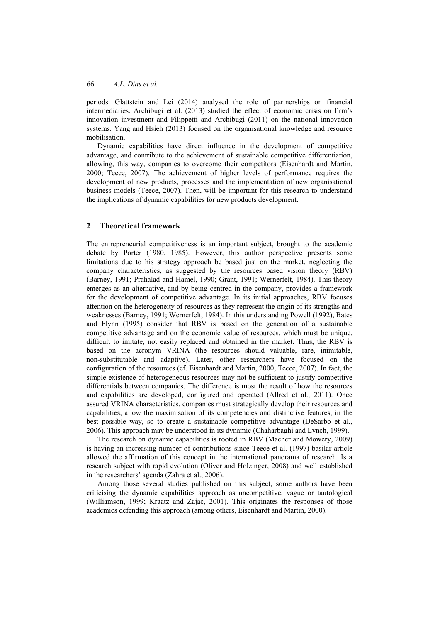periods. Glattstein and Lei (2014) analysed the role of partnerships on financial intermediaries. Archibugi et al. (2013) studied the effect of economic crisis on firm's innovation investment and Filippetti and Archibugi (2011) on the national innovation systems. Yang and Hsieh (2013) focused on the organisational knowledge and resource mobilisation.

Dynamic capabilities have direct influence in the development of competitive advantage, and contribute to the achievement of sustainable competitive differentiation, allowing, this way, companies to overcome their competitors (Eisenhardt and Martin, 2000; Teece, 2007). The achievement of higher levels of performance requires the development of new products, processes and the implementation of new organisational business models (Teece, 2007). Then, will be important for this research to understand the implications of dynamic capabilities for new products development.

## **2 Theoretical framework**

The entrepreneurial competitiveness is an important subject, brought to the academic debate by Porter (1980, 1985). However, this author perspective presents some limitations due to his strategy approach be based just on the market, neglecting the company characteristics, as suggested by the resources based vision theory (RBV) (Barney, 1991; Prahalad and Hamel, 1990; Grant, 1991; Wernerfelt, 1984). This theory emerges as an alternative, and by being centred in the company, provides a framework for the development of competitive advantage. In its initial approaches, RBV focuses attention on the heterogeneity of resources as they represent the origin of its strengths and weaknesses (Barney, 1991; Wernerfelt, 1984). In this understanding Powell (1992), Bates and Flynn (1995) consider that RBV is based on the generation of a sustainable competitive advantage and on the economic value of resources, which must be unique, difficult to imitate, not easily replaced and obtained in the market. Thus, the RBV is based on the acronym VRINA (the resources should valuable, rare, inimitable, non-substitutable and adaptive). Later, other researchers have focused on the configuration of the resources (cf. Eisenhardt and Martin, 2000; Teece, 2007). In fact, the simple existence of heterogeneous resources may not be sufficient to justify competitive differentials between companies. The difference is most the result of how the resources and capabilities are developed, configured and operated (Allred et al., 2011). Once assured VRINA characteristics, companies must strategically develop their resources and capabilities, allow the maximisation of its competencies and distinctive features, in the best possible way, so to create a sustainable competitive advantage (DeSarbo et al., 2006). This approach may be understood in its dynamic (Chaharbaghi and Lynch, 1999).

The research on dynamic capabilities is rooted in RBV (Macher and Mowery, 2009) is having an increasing number of contributions since Teece et al. (1997) basilar article allowed the affirmation of this concept in the international panorama of research. Is a research subject with rapid evolution (Oliver and Holzinger, 2008) and well established in the researchers' agenda (Zahra et al., 2006).

Among those several studies published on this subject, some authors have been criticising the dynamic capabilities approach as uncompetitive, vague or tautological (Williamson, 1999; Kraatz and Zajac, 2001). This originates the responses of those academics defending this approach (among others, Eisenhardt and Martin, 2000).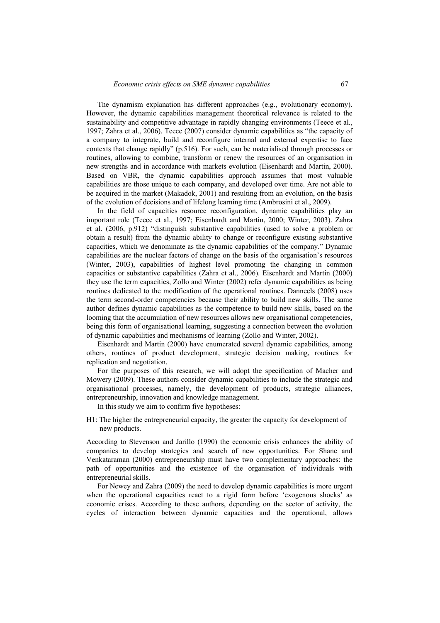The dynamism explanation has different approaches (e.g., evolutionary economy). However, the dynamic capabilities management theoretical relevance is related to the sustainability and competitive advantage in rapidly changing environments (Teece et al., 1997; Zahra et al., 2006). Teece (2007) consider dynamic capabilities as "the capacity of a company to integrate, build and reconfigure internal and external expertise to face contexts that change rapidly" (p.516). For such, can be materialised through processes or routines, allowing to combine, transform or renew the resources of an organisation in new strengths and in accordance with markets evolution (Eisenhardt and Martin, 2000). Based on VBR, the dynamic capabilities approach assumes that most valuable capabilities are those unique to each company, and developed over time. Are not able to be acquired in the market (Makadok, 2001) and resulting from an evolution, on the basis of the evolution of decisions and of lifelong learning time (Ambrosini et al., 2009).

In the field of capacities resource reconfiguration, dynamic capabilities play an important role (Teece et al., 1997; Eisenhardt and Martin, 2000; Winter, 2003). Zahra et al. (2006, p.912) "distinguish substantive capabilities (used to solve a problem or obtain a result) from the dynamic ability to change or reconfigure existing substantive capacities, which we denominate as the dynamic capabilities of the company." Dynamic capabilities are the nuclear factors of change on the basis of the organisation's resources (Winter, 2003), capabilities of highest level promoting the changing in common capacities or substantive capabilities (Zahra et al., 2006). Eisenhardt and Martin (2000) they use the term capacities, Zollo and Winter (2002) refer dynamic capabilities as being routines dedicated to the modification of the operational routines. Danneels (2008) uses the term second-order competencies because their ability to build new skills. The same author defines dynamic capabilities as the competence to build new skills, based on the looming that the accumulation of new resources allows new organisational competencies, being this form of organisational learning, suggesting a connection between the evolution of dynamic capabilities and mechanisms of learning (Zollo and Winter, 2002).

Eisenhardt and Martin (2000) have enumerated several dynamic capabilities, among others, routines of product development, strategic decision making, routines for replication and negotiation.

For the purposes of this research, we will adopt the specification of Macher and Mowery (2009). These authors consider dynamic capabilities to include the strategic and organisational processes, namely, the development of products, strategic alliances, entrepreneurship, innovation and knowledge management.

In this study we aim to confirm five hypotheses:

H1: The higher the entrepreneurial capacity, the greater the capacity for development of new products.

According to Stevenson and Jarillo (1990) the economic crisis enhances the ability of companies to develop strategies and search of new opportunities. For Shane and Venkataraman (2000) entrepreneurship must have two complementary approaches: the path of opportunities and the existence of the organisation of individuals with entrepreneurial skills.

For Newey and Zahra (2009) the need to develop dynamic capabilities is more urgent when the operational capacities react to a rigid form before 'exogenous shocks' as economic crises. According to these authors, depending on the sector of activity, the cycles of interaction between dynamic capacities and the operational, allows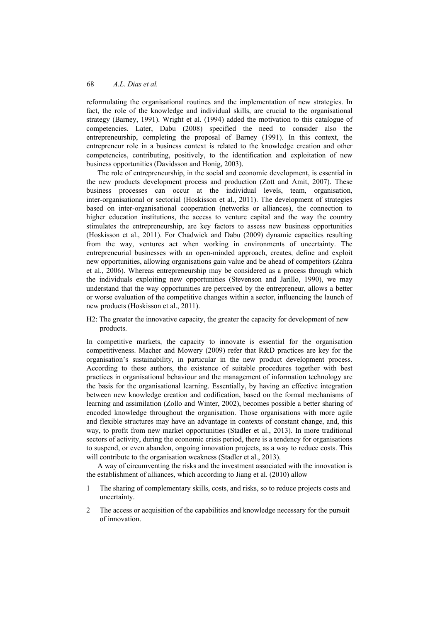reformulating the organisational routines and the implementation of new strategies. In fact, the role of the knowledge and individual skills, are crucial to the organisational strategy (Barney, 1991). Wright et al. (1994) added the motivation to this catalogue of competencies. Later, Dabu (2008) specified the need to consider also the entrepreneurship, completing the proposal of Barney (1991). In this context, the entrepreneur role in a business context is related to the knowledge creation and other competencies, contributing, positively, to the identification and exploitation of new business opportunities (Davidsson and Honig, 2003).

The role of entrepreneurship, in the social and economic development, is essential in the new products development process and production (Zott and Amit, 2007). These business processes can occur at the individual levels, team, organisation, inter-organisational or sectorial (Hoskisson et al., 2011). The development of strategies based on inter-organisational cooperation (networks or alliances), the connection to higher education institutions, the access to venture capital and the way the country stimulates the entrepreneurship, are key factors to assess new business opportunities (Hoskisson et al., 2011). For Chadwick and Dabu (2009) dynamic capacities resulting from the way, ventures act when working in environments of uncertainty. The entrepreneurial businesses with an open-minded approach, creates, define and exploit new opportunities, allowing organisations gain value and be ahead of competitors (Zahra et al., 2006). Whereas entrepreneurship may be considered as a process through which the individuals exploiting new opportunities (Stevenson and Jarillo, 1990), we may understand that the way opportunities are perceived by the entrepreneur, allows a better or worse evaluation of the competitive changes within a sector, influencing the launch of new products (Hoskisson et al., 2011).

H2: The greater the innovative capacity, the greater the capacity for development of new products.

In competitive markets, the capacity to innovate is essential for the organisation competitiveness. Macher and Mowery (2009) refer that R&D practices are key for the organisation's sustainability, in particular in the new product development process. According to these authors, the existence of suitable procedures together with best practices in organisational behaviour and the management of information technology are the basis for the organisational learning. Essentially, by having an effective integration between new knowledge creation and codification, based on the formal mechanisms of learning and assimilation (Zollo and Winter, 2002), becomes possible a better sharing of encoded knowledge throughout the organisation. Those organisations with more agile and flexible structures may have an advantage in contexts of constant change, and, this way, to profit from new market opportunities (Stadler et al., 2013). In more traditional sectors of activity, during the economic crisis period, there is a tendency for organisations to suspend, or even abandon, ongoing innovation projects, as a way to reduce costs. This will contribute to the organisation weakness (Stadler et al., 2013).

A way of circumventing the risks and the investment associated with the innovation is the establishment of alliances, which according to Jiang et al. (2010) allow

- 1 The sharing of complementary skills, costs, and risks, so to reduce projects costs and uncertainty.
- 2 The access or acquisition of the capabilities and knowledge necessary for the pursuit of innovation.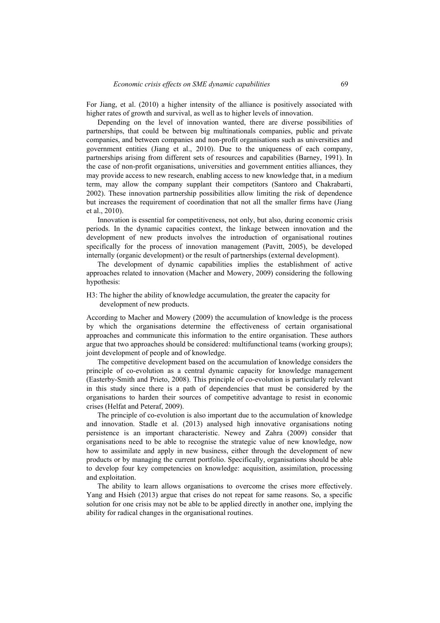For Jiang, et al. (2010) a higher intensity of the alliance is positively associated with higher rates of growth and survival, as well as to higher levels of innovation.

Depending on the level of innovation wanted, there are diverse possibilities of partnerships, that could be between big multinationals companies, public and private companies, and between companies and non-profit organisations such as universities and government entities (Jiang et al., 2010). Due to the uniqueness of each company, partnerships arising from different sets of resources and capabilities (Barney, 1991). In the case of non-profit organisations, universities and government entities alliances, they may provide access to new research, enabling access to new knowledge that, in a medium term, may allow the company supplant their competitors (Santoro and Chakrabarti, 2002). These innovation partnership possibilities allow limiting the risk of dependence but increases the requirement of coordination that not all the smaller firms have (Jiang et al., 2010).

Innovation is essential for competitiveness, not only, but also, during economic crisis periods. In the dynamic capacities context, the linkage between innovation and the development of new products involves the introduction of organisational routines specifically for the process of innovation management (Pavitt, 2005), be developed internally (organic development) or the result of partnerships (external development).

The development of dynamic capabilities implies the establishment of active approaches related to innovation (Macher and Mowery, 2009) considering the following hypothesis:

H3: The higher the ability of knowledge accumulation, the greater the capacity for development of new products.

According to Macher and Mowery (2009) the accumulation of knowledge is the process by which the organisations determine the effectiveness of certain organisational approaches and communicate this information to the entire organisation. These authors argue that two approaches should be considered: multifunctional teams (working groups); joint development of people and of knowledge.

The competitive development based on the accumulation of knowledge considers the principle of co-evolution as a central dynamic capacity for knowledge management (Easterby-Smith and Prieto, 2008). This principle of co-evolution is particularly relevant in this study since there is a path of dependencies that must be considered by the organisations to harden their sources of competitive advantage to resist in economic crises (Helfat and Peteraf, 2009).

The principle of co-evolution is also important due to the accumulation of knowledge and innovation. Stadle et al. (2013) analysed high innovative organisations noting persistence is an important characteristic. Newey and Zahra (2009) consider that organisations need to be able to recognise the strategic value of new knowledge, now how to assimilate and apply in new business, either through the development of new products or by managing the current portfolio. Specifically, organisations should be able to develop four key competencies on knowledge: acquisition, assimilation, processing and exploitation.

The ability to learn allows organisations to overcome the crises more effectively. Yang and Hsieh (2013) argue that crises do not repeat for same reasons. So, a specific solution for one crisis may not be able to be applied directly in another one, implying the ability for radical changes in the organisational routines.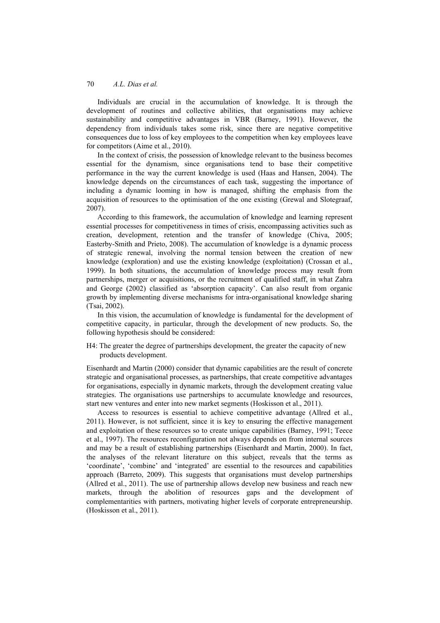Individuals are crucial in the accumulation of knowledge. It is through the development of routines and collective abilities, that organisations may achieve sustainability and competitive advantages in VBR (Barney, 1991). However, the dependency from individuals takes some risk, since there are negative competitive consequences due to loss of key employees to the competition when key employees leave for competitors (Aime et al., 2010).

In the context of crisis, the possession of knowledge relevant to the business becomes essential for the dynamism, since organisations tend to base their competitive performance in the way the current knowledge is used (Haas and Hansen, 2004). The knowledge depends on the circumstances of each task, suggesting the importance of including a dynamic looming in how is managed, shifting the emphasis from the acquisition of resources to the optimisation of the one existing (Grewal and Slotegraaf, 2007).

According to this framework, the accumulation of knowledge and learning represent essential processes for competitiveness in times of crisis, encompassing activities such as creation, development, retention and the transfer of knowledge (Chiva, 2005; Easterby-Smith and Prieto, 2008). The accumulation of knowledge is a dynamic process of strategic renewal, involving the normal tension between the creation of new knowledge (exploration) and use the existing knowledge (exploitation) (Crossan et al., 1999). In both situations, the accumulation of knowledge process may result from partnerships, merger or acquisitions, or the recruitment of qualified staff, in what Zahra and George (2002) classified as 'absorption capacity'. Can also result from organic growth by implementing diverse mechanisms for intra-organisational knowledge sharing (Tsai, 2002).

In this vision, the accumulation of knowledge is fundamental for the development of competitive capacity, in particular, through the development of new products. So, the following hypothesis should be considered:

H4: The greater the degree of partnerships development, the greater the capacity of new products development.

Eisenhardt and Martin (2000) consider that dynamic capabilities are the result of concrete strategic and organisational processes, as partnerships, that create competitive advantages for organisations, especially in dynamic markets, through the development creating value strategies. The organisations use partnerships to accumulate knowledge and resources, start new ventures and enter into new market segments (Hoskisson et al., 2011).

Access to resources is essential to achieve competitive advantage (Allred et al., 2011). However, is not sufficient, since it is key to ensuring the effective management and exploitation of these resources so to create unique capabilities (Barney, 1991; Teece et al., 1997). The resources reconfiguration not always depends on from internal sources and may be a result of establishing partnerships (Eisenhardt and Martin, 2000). In fact, the analyses of the relevant literature on this subject, reveals that the terms as 'coordinate', 'combine' and 'integrated' are essential to the resources and capabilities approach (Barreto, 2009). This suggests that organisations must develop partnerships (Allred et al., 2011). The use of partnership allows develop new business and reach new markets, through the abolition of resources gaps and the development of complementarities with partners, motivating higher levels of corporate entrepreneurship. (Hoskisson et al., 2011).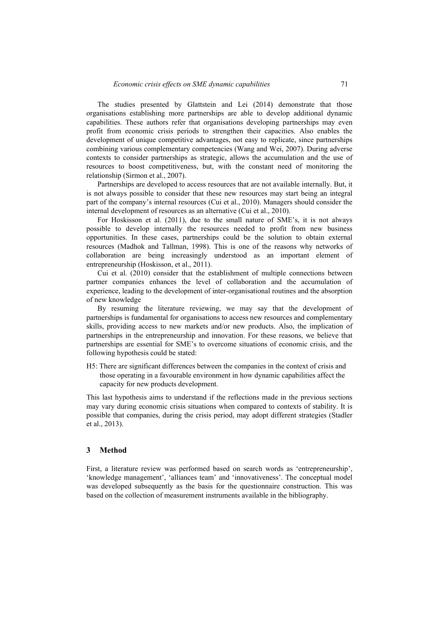The studies presented by Glattstein and Lei (2014) demonstrate that those organisations establishing more partnerships are able to develop additional dynamic capabilities. These authors refer that organisations developing partnerships may even profit from economic crisis periods to strengthen their capacities. Also enables the development of unique competitive advantages, not easy to replicate, since partnerships combining various complementary competencies (Wang and Wei, 2007). During adverse contexts to consider partnerships as strategic, allows the accumulation and the use of resources to boost competitiveness, but, with the constant need of monitoring the relationship (Sirmon et al., 2007).

Partnerships are developed to access resources that are not available internally. But, it is not always possible to consider that these new resources may start being an integral part of the company's internal resources (Cui et al., 2010). Managers should consider the internal development of resources as an alternative (Cui et al., 2010).

For Hoskisson et al. (2011), due to the small nature of SME's, it is not always possible to develop internally the resources needed to profit from new business opportunities. In these cases, partnerships could be the solution to obtain external resources (Madhok and Tallman, 1998). This is one of the reasons why networks of collaboration are being increasingly understood as an important element of entrepreneurship (Hoskisson, et al., 2011).

Cui et al. (2010) consider that the establishment of multiple connections between partner companies enhances the level of collaboration and the accumulation of experience, leading to the development of inter-organisational routines and the absorption of new knowledge

By resuming the literature reviewing, we may say that the development of partnerships is fundamental for organisations to access new resources and complementary skills, providing access to new markets and/or new products. Also, the implication of partnerships in the entrepreneurship and innovation. For these reasons, we believe that partnerships are essential for SME's to overcome situations of economic crisis, and the following hypothesis could be stated:

H5: There are significant differences between the companies in the context of crisis and those operating in a favourable environment in how dynamic capabilities affect the capacity for new products development.

This last hypothesis aims to understand if the reflections made in the previous sections may vary during economic crisis situations when compared to contexts of stability. It is possible that companies, during the crisis period, may adopt different strategies (Stadler et al., 2013).

### **3 Method**

First, a literature review was performed based on search words as 'entrepreneurship', 'knowledge management', 'alliances team' and 'innovativeness'. The conceptual model was developed subsequently as the basis for the questionnaire construction. This was based on the collection of measurement instruments available in the bibliography.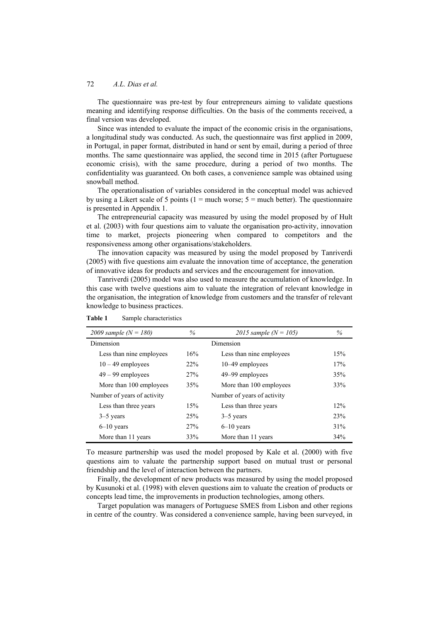The questionnaire was pre-test by four entrepreneurs aiming to validate questions meaning and identifying response difficulties. On the basis of the comments received, a final version was developed.

Since was intended to evaluate the impact of the economic crisis in the organisations, a longitudinal study was conducted. As such, the questionnaire was first applied in 2009, in Portugal, in paper format, distributed in hand or sent by email, during a period of three months. The same questionnaire was applied, the second time in 2015 (after Portuguese economic crisis), with the same procedure, during a period of two months. The confidentiality was guaranteed. On both cases, a convenience sample was obtained using snowball method.

The operationalisation of variables considered in the conceptual model was achieved by using a Likert scale of 5 points ( $1 =$  much worse;  $5 =$  much better). The questionnaire is presented in Appendix 1.

The entrepreneurial capacity was measured by using the model proposed by of Hult et al. (2003) with four questions aim to valuate the organisation pro-activity, innovation time to market, projects pioneering when compared to competitors and the responsiveness among other organisations/stakeholders.

The innovation capacity was measured by using the model proposed by Tanriverdi (2005) with five questions aim evaluate the innovation time of acceptance, the generation of innovative ideas for products and services and the encouragement for innovation.

Tanriverdi (2005) model was also used to measure the accumulation of knowledge. In this case with twelve questions aim to valuate the integration of relevant knowledge in the organisation, the integration of knowledge from customers and the transfer of relevant knowledge to business practices.

| 2009 sample $(N = 180)$     | $\%$ | 2015 sample $(N = 105)$     | $\%$ |
|-----------------------------|------|-----------------------------|------|
| Dimension                   |      |                             |      |
| Less than nine employees    | 16%  | Less than nine employees    | 15%  |
| $10 - 49$ employees         | 22%  | $10-49$ employees           | 17%  |
| $49 - 99$ employees         | 27%  | 49–99 employees             | 35%  |
| More than 100 employees     | 35%  | More than 100 employees     | 33%  |
| Number of years of activity |      | Number of years of activity |      |
| Less than three years       | 15%  | Less than three years       | 12%  |
| $3-5$ years                 | 25%  | $3-5$ years                 | 23%  |
| $6-10$ years                | 27%  | $6-10$ years                | 31%  |
| More than 11 years          | 33%  | More than 11 years          | 34%  |

**Table 1** Sample characteristics

To measure partnership was used the model proposed by Kale et al. (2000) with five questions aim to valuate the partnership support based on mutual trust or personal friendship and the level of interaction between the partners.

Finally, the development of new products was measured by using the model proposed by Kusunoki et al. (1998) with eleven questions aim to valuate the creation of products or concepts lead time, the improvements in production technologies, among others.

Target population was managers of Portuguese SMES from Lisbon and other regions in centre of the country. Was considered a convenience sample, having been surveyed, in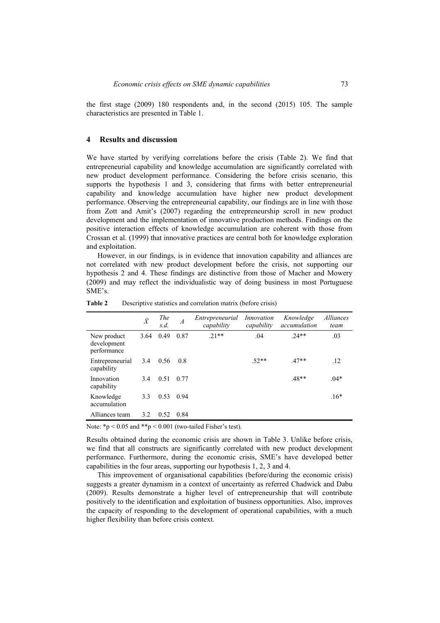the first stage (2009) 180 respondents and, in the second (2015) 105. The sample characteristics are presented in Table 1.

#### **4 Results and discussion**

We have started by verifying correlations before the crisis (Table 2). We find that entrepreneurial capability and knowledge accumulation are significantly correlated with new product development performance. Considering the before crisis scenario, this supports the hypothesis 1 and 3, considering that firms with better entrepreneurial capability and knowledge accumulation have higher new product development performance. Observing the entrepreneurial capability, our findings are in line with those from Zott and Amit's (2007) regarding the entrepreneurship scroll in new product development and the implementation of innovative production methods. Findings on the positive interaction effects of knowledge accumulation are coherent with those from Crossan et al. (1999) that innovative practices are central both for knowledge exploration and exploitation.

However, in our findings, is in evidence that innovation capability and alliances are not correlated with new product development before the crisis, not supporting our hypothesis 2 and 4. These findings are distinctive from those of Macher and Mowery (2009) and may reflect the individualistic way of doing business in most Portuguese SME's.

|                                           | $\ddot{X}$ | <b>The</b><br>s.d. | $\boldsymbol{A}$ | Entrepreneurial<br>capability | Innovation<br>capability | Knowledge<br>accumulation | Alliances<br>team |
|-------------------------------------------|------------|--------------------|------------------|-------------------------------|--------------------------|---------------------------|-------------------|
| New product<br>development<br>performance | 3.64       | 0.49               | 0.87             | $21**$                        | .04                      | $.24**$                   | .03               |
| Entrepreneurial<br>capability             | 3.4        | 0.56               | 0.8              |                               | $.52**$                  | $.47**$                   | .12               |
| Innovation<br>capability                  | 3.4        | 0.51               | 0.77             |                               |                          | $.48**$                   | $.04*$            |
| Knowledge<br>accumulation                 | 3.3        | 0.53               | 0.94             |                               |                          |                           | $.16*$            |
| Alliances team                            | 3.2        | 0.52               | 0.84             |                               |                          |                           |                   |

**Table 2** Descriptive statistics and correlation matrix (before crisis)

Note:  $*p < 0.05$  and  $**p < 0.001$  (two-tailed Fisher's test).

Results obtained during the economic crisis are shown in Table 3. Unlike before crisis, we find that all constructs are significantly correlated with new product development performance. Furthermore, during the economic crisis, SME's have developed better capabilities in the four areas, supporting our hypothesis 1, 2, 3 and 4.

This improvement of organisational capabilities (before/during the economic crisis) suggests a greater dynamism in a context of uncertainty as referred Chadwick and Dabu (2009). Results demonstrate a higher level of entrepreneurship that will contribute positively to the identification and exploitation of business opportunities. Also, improves the capacity of responding to the development of operational capabilities, with a much higher flexibility than before crisis context.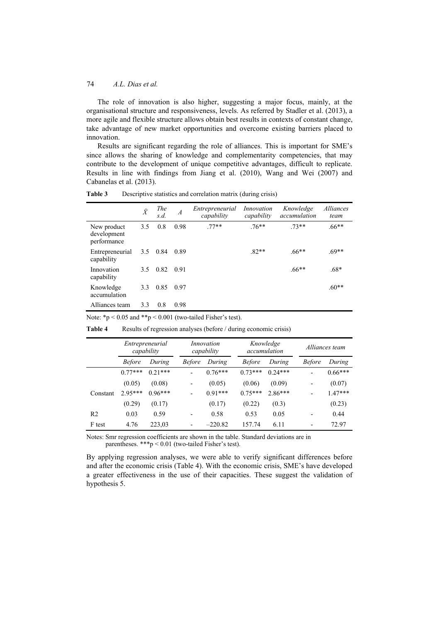The role of innovation is also higher, suggesting a major focus, mainly, at the organisational structure and responsiveness, levels. As referred by Stadler et al. (2013), a more agile and flexible structure allows obtain best results in contexts of constant change, take advantage of new market opportunities and overcome existing barriers placed to innovation.

Results are significant regarding the role of alliances. This is important for SME's since allows the sharing of knowledge and complementarity competencies, that may contribute to the development of unique competitive advantages, difficult to replicate. Results in line with findings from Jiang et al. (2010), Wang and Wei (2007) and Cabanelas et al. (2013).

|                                           | $\ddot{X}$    | <b>The</b><br>s.d. | $\overline{A}$ | Entrepreneurial<br>capability | Innovation<br>capability | Knowledge<br>accumulation | <i>Alliances</i><br>team |
|-------------------------------------------|---------------|--------------------|----------------|-------------------------------|--------------------------|---------------------------|--------------------------|
| New product<br>development<br>performance | 3.5           | 0.8                | 0.98           | $.77**$                       | $.76**$                  | $73**$                    | $.66**$                  |
| Entrepreneurial<br>capability             | $3.5^{\circ}$ | 0.84               | 0.89           |                               | $.82**$                  | $.66**$                   | $.69**$                  |
| Innovation<br>capability                  | 3.5           | 0.82               | 0.91           |                               |                          | $.66**$                   | $.68*$                   |
| Knowledge<br>accumulation                 | 3.3           | 0.85               | 0.97           |                               |                          |                           | $.60**$                  |
| Alliances team                            | 3.3           | 0.8                | 0.98           |                               |                          |                           |                          |

**Table 3** Descriptive statistics and correlation matrix (during crisis)

Note: \*p < 0.05 and \*\*p < 0.001 (two-tailed Fisher's test).

|                | Entrepreneurial<br>capability |           | Innovation<br>capability |           | Knowledge<br>accumulation |           | Alliances team           |           |
|----------------|-------------------------------|-----------|--------------------------|-----------|---------------------------|-----------|--------------------------|-----------|
|                | <b>Before</b>                 | During    | <b>Before</b>            | During    | <i>Before</i>             | During    | <b>Before</b>            | During    |
|                | $0.77***$                     | $0.21***$ |                          | $0.76***$ | $0.73***$                 | $0.24***$ |                          | $0.66***$ |
|                | (0.05)                        | (0.08)    | -                        | (0.05)    | (0.06)                    | (0.09)    | -                        | (0.07)    |
| Constant       | $2.95***$                     | $0.96***$ |                          | $0.91***$ | $0.75***$                 | $2.86***$ |                          | $1.47***$ |
|                | (0.29)                        | (0.17)    |                          | (0.17)    | (0.22)                    | (0.3)     |                          | (0.23)    |
| R <sub>2</sub> | 0.03                          | 0.59      | $\overline{\phantom{0}}$ | 0.58      | 0.53                      | 0.05      | -                        | 0.44      |
| F test         | 4.76                          | 223,03    | $\overline{\phantom{0}}$ | $-220.82$ | 157.74                    | 6.11      | $\overline{\phantom{0}}$ | 72.97     |

**Table 4** Results of regression analyses (before / during economic crisis)

Notes: Smr regression coefficients are shown in the table. Standard deviations are in parentheses. \*\*\*p < 0.01 (two-tailed Fisher's test).

By applying regression analyses, we were able to verify significant differences before and after the economic crisis (Table 4). With the economic crisis, SME's have developed a greater effectiveness in the use of their capacities. These suggest the validation of hypothesis 5.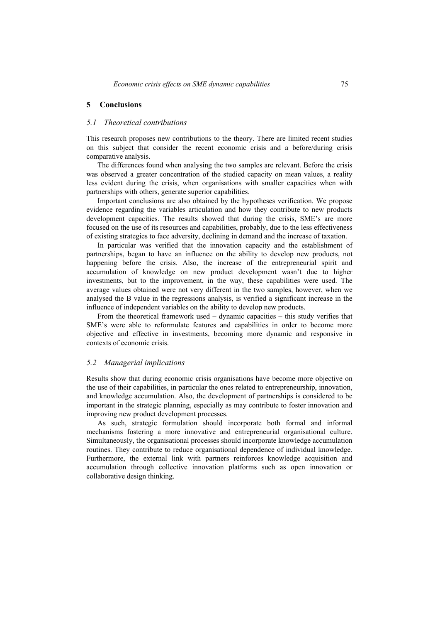#### *5.1 Theoretical contributions*

This research proposes new contributions to the theory. There are limited recent studies on this subject that consider the recent economic crisis and a before/during crisis comparative analysis.

The differences found when analysing the two samples are relevant. Before the crisis was observed a greater concentration of the studied capacity on mean values, a reality less evident during the crisis, when organisations with smaller capacities when with partnerships with others, generate superior capabilities.

Important conclusions are also obtained by the hypotheses verification. We propose evidence regarding the variables articulation and how they contribute to new products development capacities. The results showed that during the crisis, SME's are more focused on the use of its resources and capabilities, probably, due to the less effectiveness of existing strategies to face adversity, declining in demand and the increase of taxation.

In particular was verified that the innovation capacity and the establishment of partnerships, began to have an influence on the ability to develop new products, not happening before the crisis. Also, the increase of the entrepreneurial spirit and accumulation of knowledge on new product development wasn't due to higher investments, but to the improvement, in the way, these capabilities were used. The average values obtained were not very different in the two samples, however, when we analysed the B value in the regressions analysis, is verified a significant increase in the influence of independent variables on the ability to develop new products.

From the theoretical framework used – dynamic capacities – this study verifies that SME's were able to reformulate features and capabilities in order to become more objective and effective in investments, becoming more dynamic and responsive in contexts of economic crisis.

#### *5.2 Managerial implications*

Results show that during economic crisis organisations have become more objective on the use of their capabilities, in particular the ones related to entrepreneurship, innovation, and knowledge accumulation. Also, the development of partnerships is considered to be important in the strategic planning, especially as may contribute to foster innovation and improving new product development processes.

As such, strategic formulation should incorporate both formal and informal mechanisms fostering a more innovative and entrepreneurial organisational culture. Simultaneously, the organisational processes should incorporate knowledge accumulation routines. They contribute to reduce organisational dependence of individual knowledge. Furthermore, the external link with partners reinforces knowledge acquisition and accumulation through collective innovation platforms such as open innovation or collaborative design thinking.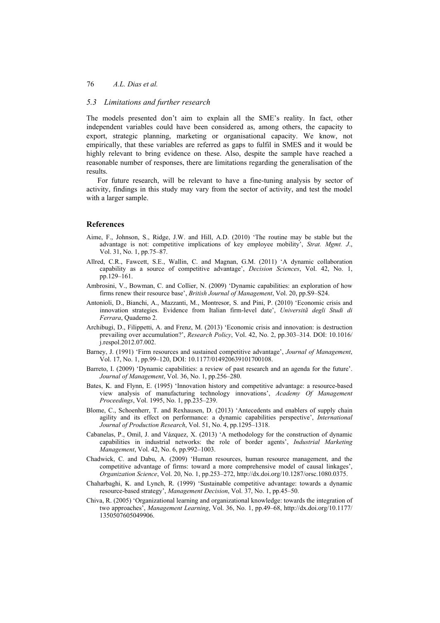## *5.3 Limitations and further research*

The models presented don't aim to explain all the SME's reality. In fact, other independent variables could have been considered as, among others, the capacity to export, strategic planning, marketing or organisational capacity. We know, not empirically, that these variables are referred as gaps to fulfil in SMES and it would be highly relevant to bring evidence on these. Also, despite the sample have reached a reasonable number of responses, there are limitations regarding the generalisation of the results.

For future research, will be relevant to have a fine-tuning analysis by sector of activity, findings in this study may vary from the sector of activity, and test the model with a larger sample.

#### **References**

- Aime, F., Johnson, S., Ridge, J.W. and Hill, A.D. (2010) 'The routine may be stable but the advantage is not: competitive implications of key employee mobility', *Strat. Mgmt. J*., Vol. 31, No. 1, pp.75–87.
- Allred, C.R., Fawcett, S.E., Wallin, C. and Magnan, G.M. (2011) 'A dynamic collaboration capability as a source of competitive advantage', *Decision Sciences*, Vol. 42, No. 1, pp.129–161.
- Ambrosini, V., Bowman, C. and Collier, N. (2009) 'Dynamic capabilities: an exploration of how firms renew their resource base', *British Journal of Management*, Vol. 20, pp.S9–S24.
- Antonioli, D., Bianchi, A., Mazzanti, M., Montresor, S. and Pini, P. (2010) 'Economic crisis and innovation strategies. Evidence from Italian firm-level date', *Universitã degli Studi di Ferrara*, Quaderno 2.
- Archibugi, D., Filippetti, A. and Frenz, M. (2013) 'Economic crisis and innovation: is destruction prevailing over accumulation?', *Research Policy*, Vol. 42, No. 2, pp.303–314. DOI: 10.1016/ j.respol.2012.07.002.
- Barney, J. (1991) 'Firm resources and sustained competitive advantage', *Journal of Management*, Vol. 17, No. 1, pp.99–120, DOI: 10.1177/014920639101700108.
- Barreto, I. (2009) 'Dynamic capabilities: a review of past research and an agenda for the future'. *Journal of Management*, Vol. 36, No. 1, pp.256–280.
- Bates, K. and Flynn, E. (1995) 'Innovation history and competitive advantage: a resource-based view analysis of manufacturing technology innovations', *Academy Of Management Proceedings*, Vol. 1995, No. 1, pp.235–239.
- Blome, C., Schoenherr, T. and Rexhausen, D. (2013) 'Antecedents and enablers of supply chain agility and its effect on performance: a dynamic capabilities perspective', *International Journal of Production Research*, Vol. 51, No. 4, pp.1295–1318.
- Cabanelas, P., Omil, J. and Vázquez, X. (2013) 'A methodology for the construction of dynamic capabilities in industrial networks: the role of border agents', *Industrial Marketing Management*, Vol. 42, No. 6, pp.992–1003.
- Chadwick, C. and Dabu, A. (2009) 'Human resources, human resource management, and the competitive advantage of firms: toward a more comprehensive model of causal linkages', *Organization Science*, Vol. 20, No. 1, pp.253–272, http://dx.doi.org/10.1287/orsc.1080.0375.
- Chaharbaghi, K. and Lynch, R. (1999) 'Sustainable competitive advantage: towards a dynamic resource‐based strategy', *Management Decision*, Vol. 37, No. 1, pp.45–50.
- Chiva, R. (2005) 'Organizational learning and organizational knowledge: towards the integration of two approaches', *Management Learning*, Vol. 36, No. 1, pp.49–68, http://dx.doi.org/10.1177/ 1350507605049906.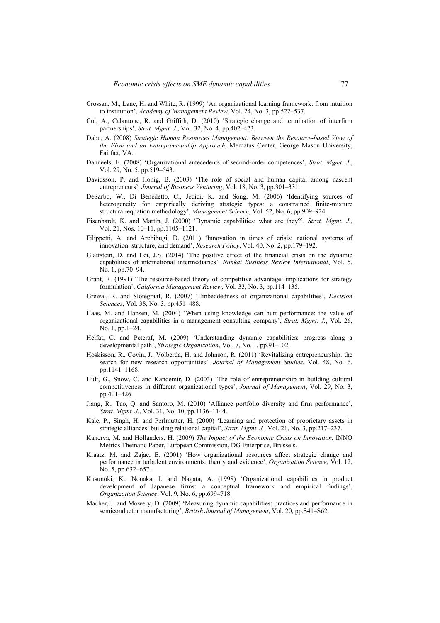- Crossan, M., Lane, H. and White, R. (1999) 'An organizational learning framework: from intuition to institution', *Academy of Management Review*, Vol. 24, No. 3, pp.522–537.
- Cui, A., Calantone, R. and Griffith, D. (2010) 'Strategic change and termination of interfirm partnerships', *Strat. Mgmt. J.*, Vol. 32, No. 4, pp.402–423.
- Dabu, A. (2008) *Strategic Human Resources Management: Between the Resource-based View of the Firm and an Entrepreneurship Approach*, Mercatus Center, George Mason University, Fairfax, VA.
- Danneels, E. (2008) 'Organizational antecedents of second-order competences', *Strat. Mgmt. J.*, Vol. 29, No. 5, pp.519–543.
- Davidsson, P. and Honig, B. (2003) 'The role of social and human capital among nascent entrepreneurs', *Journal of Business Venturing*, Vol. 18, No. 3, pp.301–331.
- DeSarbo, W., Di Benedetto, C., Jedidi, K. and Song, M. (2006) 'Identifying sources of heterogeneity for empirically deriving strategic types: a constrained finite-mixture structural-equation methodology', *Management Science*, Vol. 52, No. 6, pp.909–924.
- Eisenhardt, K. and Martin, J. (2000) 'Dynamic capabilities: what are they?', *Strat. Mgmt. J.*, Vol. 21, Nos. 10–11, pp.1105–1121.
- Filippetti, A. and Archibugi, D. (2011) 'Innovation in times of crisis: national systems of innovation, structure, and demand', *Research Policy*, Vol. 40, No. 2, pp.179–192.
- Glattstein, D. and Lei, J.S. (2014) 'The positive effect of the financial crisis on the dynamic capabilities of international intermediaries', *Nankai Business Review International*, Vol. 5, No. 1, pp.70–94.
- Grant, R. (1991) 'The resource-based theory of competitive advantage: implications for strategy formulation', *California Management Review*, Vol. 33, No. 3, pp.114–135.
- Grewal, R. and Slotegraaf, R. (2007) 'Embeddedness of organizational capabilities', *Decision Sciences*, Vol. 38, No. 3, pp.451–488.
- Haas, M. and Hansen, M. (2004) 'When using knowledge can hurt performance: the value of organizational capabilities in a management consulting company', *Strat. Mgmt. J.*, Vol. 26, No. 1, pp.1–24.
- Helfat, C. and Peteraf, M. (2009) 'Understanding dynamic capabilities: progress along a developmental path', *Strategic Organization*, Vol. 7, No. 1, pp.91–102.
- Hoskisson, R., Covin, J., Volberda, H. and Johnson, R. (2011) 'Revitalizing entrepreneurship: the search for new research opportunities', *Journal of Management Studies*, Vol. 48, No. 6, pp.1141–1168.
- Hult, G., Snow, C. and Kandemir, D. (2003) 'The role of entrepreneurship in building cultural competitiveness in different organizational types', *Journal of Management*, Vol. 29, No. 3, pp.401–426.
- Jiang, R., Tao, Q. and Santoro, M. (2010) 'Alliance portfolio diversity and firm performance', *Strat. Mgmt. J.*, Vol. 31, No. 10, pp.1136–1144.
- Kale, P., Singh, H. and Perlmutter, H. (2000) 'Learning and protection of proprietary assets in strategic alliances: building relational capital', *Strat. Mgmt. J.*, Vol. 21, No. 3, pp.217–237.
- Kanerva, M. and Hollanders, H. (2009) *The Impact of the Economic Crisis on Innovation*, INNO Metrics Thematic Paper, European Commission, DG Enterprise, Brussels.
- Kraatz, M. and Zajac, E. (2001) 'How organizational resources affect strategic change and performance in turbulent environments: theory and evidence', *Organization Science*, Vol. 12, No. 5, pp.632–657.
- Kusunoki, K., Nonaka, I. and Nagata, A. (1998) 'Organizational capabilities in product development of Japanese firms: a conceptual framework and empirical findings', *Organization Science*, Vol. 9, No. 6, pp.699–718.
- Macher, J. and Mowery, D. (2009) 'Measuring dynamic capabilities: practices and performance in semiconductor manufacturing', *British Journal of Management*, Vol. 20, pp.S41–S62.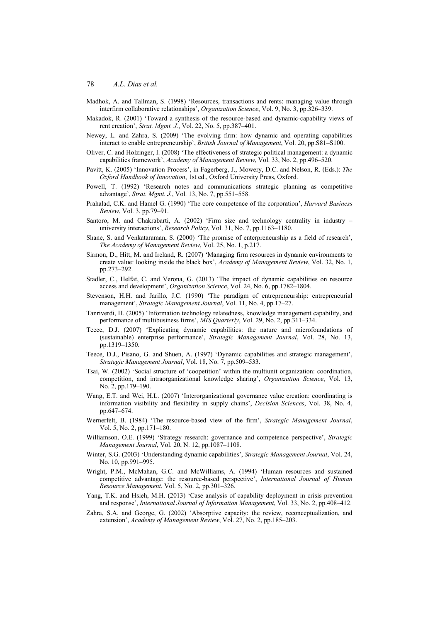- Madhok, A. and Tallman, S. (1998) 'Resources, transactions and rents: managing value through interfirm collaborative relationships', *Organization Science*, Vol. 9, No. 3, pp.326–339.
- Makadok, R. (2001) 'Toward a synthesis of the resource-based and dynamic-capability views of rent creation', *Strat. Mgmt. J.*, Vol. 22, No. 5, pp.387–401.
- Newey, L. and Zahra, S. (2009) 'The evolving firm: how dynamic and operating capabilities interact to enable entrepreneurship', *British Journal of Management*, Vol. 20, pp.S81–S100.
- Oliver, C. and Holzinger, I. (2008) 'The effectiveness of strategic political management: a dynamic capabilities framework', *Academy of Management Review*, Vol. 33, No. 2, pp.496–520.
- Pavitt, K. (2005) 'Innovation Process', in Fagerberg, J., Mowery, D.C. and Nelson, R. (Eds.): *The Oxford Handbook of Innovation*, 1st ed., Oxford University Press, Oxford.
- Powell, T. (1992) 'Research notes and communications strategic planning as competitive advantage', *Strat. Mgmt. J.*, Vol. 13, No. 7, pp.551–558.
- Prahalad, C.K. and Hamel G. (1990) 'The core competence of the corporation', *Harvard Business Review*, Vol. 3, pp.79–91.
- Santoro, M. and Chakrabarti, A. (2002) 'Firm size and technology centrality in industry university interactions', *Research Policy*, Vol. 31, No. 7, pp.1163–1180.
- Shane, S. and Venkataraman, S. (2000) 'The promise of enterpreneurship as a field of research', *The Academy of Management Review*, Vol. 25, No. 1, p.217.
- Sirmon, D., Hitt, M. and Ireland, R. (2007) 'Managing firm resources in dynamic environments to create value: looking inside the black box', *Academy of Management Review*, Vol. 32, No. 1, pp.273–292.
- Stadler, C., Helfat, C. and Verona, G. (2013) 'The impact of dynamic capabilities on resource access and development', *Organization Science*, Vol. 24, No. 6, pp.1782–1804.
- Stevenson, H.H. and Jarillo, J.C. (1990) 'The paradigm of entrepreneurship: entrepreneurial management', *Strategic Management Journal*, Vol. 11, No. 4, pp.17–27.
- Tanriverdi, H. (2005) 'Information technology relatedness, knowledge management capability, and performance of multibusiness firms', *MIS Quarterly*, Vol. 29, No. 2, pp.311–334.
- Teece, D.J. (2007) 'Explicating dynamic capabilities: the nature and microfoundations of (sustainable) enterprise performance', *Strategic Management Journal*, Vol. 28, No. 13, pp.1319–1350.
- Teece, D.J., Pisano, G. and Shuen, A. (1997) 'Dynamic capabilities and strategic management', *Strategic Management Journal*, Vol. 18, No. 7, pp.509–533.
- Tsai, W. (2002) 'Social structure of 'coopetition' within the multiunit organization: coordination, competition, and intraorganizational knowledge sharing', *Organization Science*, Vol. 13, No. 2, pp.179–190.
- Wang, E.T. and Wei, H.L. (2007) 'Interorganizational governance value creation: coordinating is information visibility and flexibility in supply chains', *Decision Sciences*, Vol. 38, No. 4, pp.647–674.
- Wernerfelt, B. (1984) 'The resource-based view of the firm', *Strategic Management Journal*, Vol. 5, No. 2, pp.171–180.
- Williamson, O.E. (1999) 'Strategy research: governance and competence perspective', *Strategic Management Journal*, Vol. 20, N. 12, pp.1087–1108.
- Winter, S.G. (2003) 'Understanding dynamic capabilities', *Strategic Management Journal*, Vol. 24, No. 10, pp.991–995.
- Wright, P.M., McMahan, G.C. and McWilliams, A. (1994) 'Human resources and sustained competitive advantage: the resource-based perspective', *International Journal of Human Resource Management*, Vol. 5, No. 2, pp.301–326.
- Yang, T.K. and Hsieh, M.H. (2013) 'Case analysis of capability deployment in crisis prevention and response', *International Journal of Information Management*, Vol. 33, No. 2, pp.408–412.
- Zahra, S.A. and George, G. (2002) 'Absorptive capacity: the review, reconceptualization, and extension', *Academy of Management Review*, Vol. 27, No. 2, pp.185–203.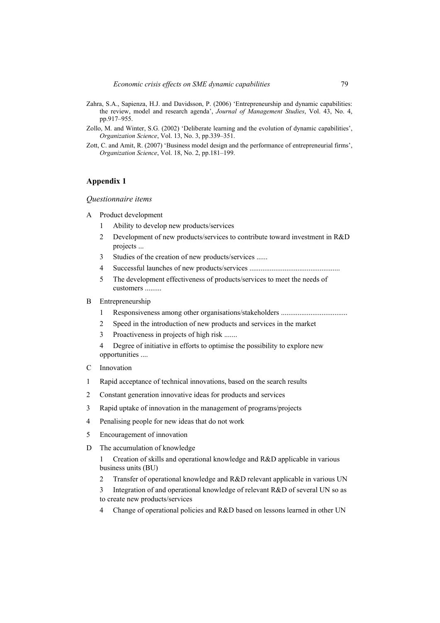- Zahra, S.A., Sapienza, H.J. and Davidsson, P. (2006) 'Entrepreneurship and dynamic capabilities: the review, model and research agenda', *Journal of Management Studies*, Vol. 43, No. 4, pp.917–955.
- Zollo, M. and Winter, S.G. (2002) 'Deliberate learning and the evolution of dynamic capabilities', *Organization Science*, Vol. 13, No. 3, pp.339–351.
- Zott, C. and Amit, R. (2007) 'Business model design and the performance of entrepreneurial firms', *Organization Science*, Vol. 18, No. 2, pp.181–199.

## **Appendix 1**

#### *Questionnaire items*

- A Product development
	- 1 Ability to develop new products/services
	- 2 Development of new products/services to contribute toward investment in R&D projects ...
	- 3 Studies of the creation of new products/services ......
	- 4 Successful launches of new products/services .................................................
	- 5 The development effectiveness of products/services to meet the needs of customers .........
- B Entrepreneurship
	- 1 Responsiveness among other organisations/stakeholders ....................................
	- 2 Speed in the introduction of new products and services in the market
	- 3 Proactiveness in projects of high risk .......
	- 4 Degree of initiative in efforts to optimise the possibility to explore new opportunities ....
- C Innovation
- 1 Rapid acceptance of technical innovations, based on the search results
- 2 Constant generation innovative ideas for products and services
- 3 Rapid uptake of innovation in the management of programs/projects
- 4 Penalising people for new ideas that do not work
- 5 Encouragement of innovation
- D The accumulation of knowledge
	- 1 Creation of skills and operational knowledge and R&D applicable in various business units (BU)
	- 2 Transfer of operational knowledge and R&D relevant applicable in various UN
	- 3 Integration of and operational knowledge of relevant R&D of several UN so as to create new products/services
	- 4 Change of operational policies and R&D based on lessons learned in other UN